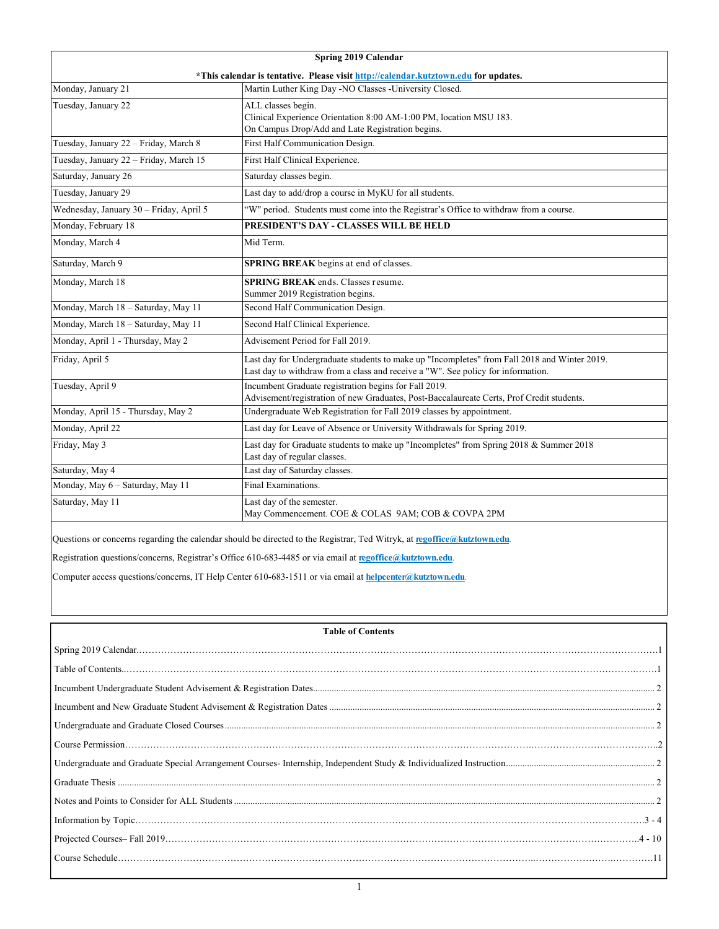| Spring 2019 Calendar                                                                |                                                                                                                                                                                  |  |  |  |
|-------------------------------------------------------------------------------------|----------------------------------------------------------------------------------------------------------------------------------------------------------------------------------|--|--|--|
| *This calendar is tentative. Please visit http://calendar.kutztown.edu for updates. |                                                                                                                                                                                  |  |  |  |
| Monday, January 21                                                                  | Martin Luther King Day -NO Classes -University Closed.                                                                                                                           |  |  |  |
| Tuesday, January 22                                                                 | ALL classes begin.<br>Clinical Experience Orientation 8:00 AM-1:00 PM, location MSU 183.<br>On Campus Drop/Add and Late Registration begins.                                     |  |  |  |
| Tuesday, January 22 - Friday, March 8                                               | First Half Communication Design.                                                                                                                                                 |  |  |  |
| Tuesday, January 22 - Friday, March 15                                              | First Half Clinical Experience.                                                                                                                                                  |  |  |  |
| Saturday, January 26                                                                | Saturday classes begin.                                                                                                                                                          |  |  |  |
| Tuesday, January 29                                                                 | Last day to add/drop a course in MyKU for all students.                                                                                                                          |  |  |  |
| Wednesday, January 30 - Friday, April 5                                             | "W" period. Students must come into the Registrar's Office to withdraw from a course.                                                                                            |  |  |  |
| Monday, February 18                                                                 | PRESIDENT'S DAY - CLASSES WILL BE HELD                                                                                                                                           |  |  |  |
| Monday, March 4                                                                     | Mid Term.                                                                                                                                                                        |  |  |  |
| Saturday, March 9                                                                   | SPRING BREAK begins at end of classes.                                                                                                                                           |  |  |  |
| Monday, March 18                                                                    | <b>SPRING BREAK</b> ends. Classes resume.<br>Summer 2019 Registration begins.                                                                                                    |  |  |  |
| Monday, March 18 - Saturday, May 11                                                 | Second Half Communication Design.                                                                                                                                                |  |  |  |
| Monday, March 18 - Saturday, May 11                                                 | Second Half Clinical Experience.                                                                                                                                                 |  |  |  |
| Monday, April 1 - Thursday, May 2                                                   | Advisement Period for Fall 2019.                                                                                                                                                 |  |  |  |
| Friday, April 5                                                                     | Last day for Undergraduate students to make up "Incompletes" from Fall 2018 and Winter 2019.<br>Last day to withdraw from a class and receive a "W". See policy for information. |  |  |  |
| Tuesday, April 9                                                                    | Incumbent Graduate registration begins for Fall 2019.<br>Advisement/registration of new Graduates, Post-Baccalaureate Certs, Prof Credit students.                               |  |  |  |
| Monday, April 15 - Thursday, May 2                                                  | Undergraduate Web Registration for Fall 2019 classes by appointment.                                                                                                             |  |  |  |
| Monday, April 22                                                                    | Last day for Leave of Absence or University Withdrawals for Spring 2019.                                                                                                         |  |  |  |
| Friday, May 3                                                                       | Last day for Graduate students to make up "Incompletes" from Spring 2018 & Summer 2018<br>Last day of regular classes.                                                           |  |  |  |
| Saturday, May 4                                                                     | Last day of Saturday classes.                                                                                                                                                    |  |  |  |
| Monday, May 6 - Saturday, May 11                                                    | Final Examinations.                                                                                                                                                              |  |  |  |
| Saturday, May 11                                                                    | Last day of the semester.<br>May Commencement. COE & COLAS 9AM; COB & COVPA 2PM                                                                                                  |  |  |  |
|                                                                                     | and the state of the state of the state of the state of the state of the state of the state of the state of the                                                                  |  |  |  |

Questions or concerns regarding the calendar should be directed to the Registrar, Ted Witryk, at **regoffice@kutztown.edu**.

Registration questions/concerns, Registrar's Office 610-683-4485 or via email at **regoffice@kutztown.edu**.

Computer access questions/concerns, IT Help Center 610-683-1511 or via email at **helpcenter@kutztown.edu**.

# **Table of Contents**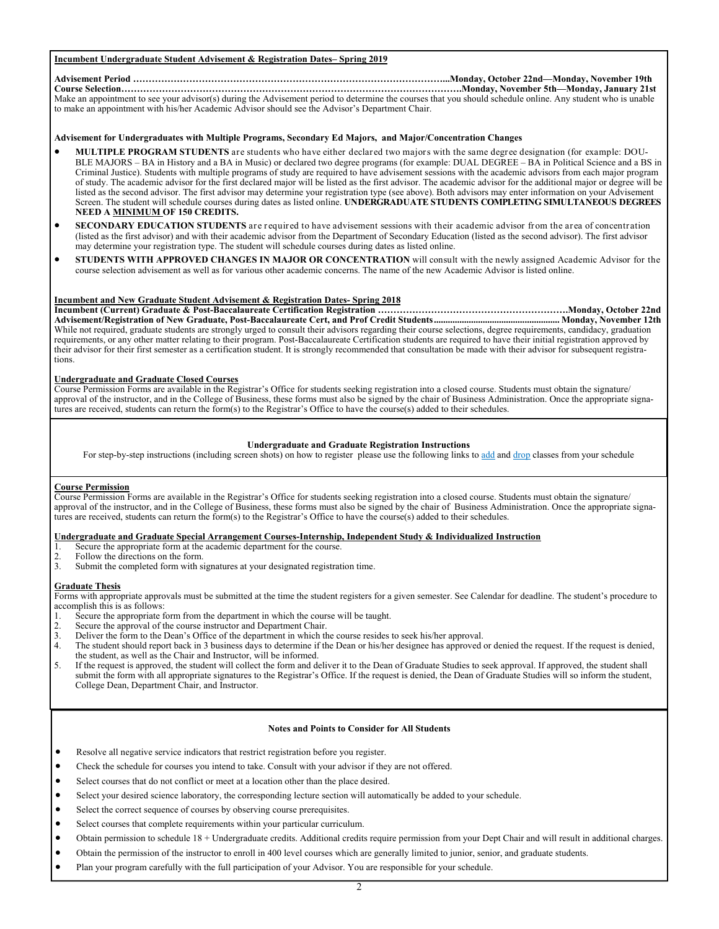# **Incumbent Undergraduate Student Advisement & Registration Dates– Spring 2019**

#### **Advisement Period ………………………………………………………………………………………...Monday, October 22nd—Monday, November 19th Course Selection……………………………………………………………………………………………….Monday, November 5th—Monday, January 21st**  Make an appointment to see your advisor(s) during the Advisement period to determine the courses that you should schedule online. Any student who is unable

to make an appointment with his/her Academic Advisor should see the Advisor's Department Chair.

## **Advisement for Undergraduates with Multiple Programs, Secondary Ed Majors, and Major/Concentration Changes**

- **MULTIPLE PROGRAM STUDENTS** are students who have either declared two majors with the same degree designation (for example: DOU-BLE MAJORS – BA in History and a BA in Music) or declared two degree programs (for example: DUAL DEGREE – BA in Political Science and a BS in Criminal Justice). Students with multiple programs of study are required to have advisement sessions with the academic advisors from each major program of study. The academic advisor for the first declared major will be listed as the first advisor. The academic advisor for the additional major or degree will be listed as the second advisor. The first advisor may determine your registration type (see above). Both advisors may enter information on your Advisement Screen. The student will schedule courses during dates as listed online. **UNDERGRADUATE STUDENTS COMPLETING SIMULTANEOUS DEGREES NEED A MINIMUM OF 150 CREDITS.**
- **SECONDARY EDUCATION STUDENTS** are required to have advisement sessions with their academic advisor from the area of concentration (listed as the first advisor) and with their academic advisor from the Department of Secondary Education (listed as the second advisor). The first advisor may determine your registration type. The student will schedule courses during dates as listed online.
- **STUDENTS WITH APPROVED CHANGES IN MAJOR OR CONCENTRATION** will consult with the newly assigned Academic Advisor for the course selection advisement as well as for various other academic concerns. The name of the new Academic Advisor is listed online.

## **Incumbent and New Graduate Student Advisement & Registration Dates- Spring 2018**

**Incumbent (Current) Graduate & Post-Baccalaureate Certification Registration …………………………………………………….Monday, October 22nd Advisement/Registration of New Graduate, Post-Baccalaureate Cert, and Prof Credit Students ...................................................... Monday, November 12th**  While not required, graduate students are strongly urged to consult their advisors regarding their course selections, degree requirements, candidacy, graduation requirements, or any other matter relating to their program. Post-Baccalaureate Certification students are required to have their initial registration approved by their advisor for their first semester as a certification student. It is strongly recommended that consultation be made with their advisor for subsequent registrations.

## **Undergraduate and Graduate Closed Courses**

Course Permission Forms are available in the Registrar's Office for students seeking registration into a closed course. Students must obtain the signature/ approval of the instructor, and in the College of Business, these forms must also be signed by the chair of Business Administration. Once the appropriate signatures are received, students can return the form(s) to the Registrar's Office to have the course(s) added to their schedules.

## **Undergraduate and Graduate Registration Instructions**

For step-by-step instructions (including screen shots) on how to register please use the following links to add and drop classes from your schedule

## **Course Permission**

Course Permission Forms are available in the Registrar's Office for students seeking registration into a closed course. Students must obtain the signature/ approval of the instructor, and in the College of Business, these forms must also be signed by the chair of Business Administration. Once the appropriate signatures are received, students can return the form(s) to the Registrar's Office to have the course(s) added to their schedules.

# **Undergraduate and Graduate Special Arrangement Courses-Internship, Independent Study & Individualized Instruction**

- 1. Secure the appropriate form at the academic department for the course.
- 2. Follow the directions on the form.<br>3. Submit the completed form with s
- Submit the completed form with signatures at your designated registration time.

## **Graduate Thesis**

Forms with appropriate approvals must be submitted at the time the student registers for a given semester. See Calendar for deadline. The student's procedure to accomplish this is as follows:

- Secure the appropriate form from the department in which the course will be taught.
- 2. Secure the approval of the course instructor and Department Chair.
- 3. Deliver the form to the Dean's Office of the department in which the course resides to seek his/her approval.
- 4. The student should report back in 3 business days to determine if the Dean or his/her designee has approved or denied the request. If the request is denied, the student, as well as the Chair and Instructor, will be informed.
- 5. If the request is approved, the student will collect the form and deliver it to the Dean of Graduate Studies to seek approval. If approved, the student shall submit the form with all appropriate signatures to the Registrar's Office. If the request is denied, the Dean of Graduate Studies will so inform the student, College Dean, Department Chair, and Instructor.

# **Notes and Points to Consider for All Students**

- Resolve all negative service indicators that restrict registration before you register.
- Check the schedule for courses you intend to take. Consult with your advisor if they are not offered.
- Select courses that do not conflict or meet at a location other than the place desired.
- Select your desired science laboratory, the corresponding lecture section will automatically be added to your schedule.
- Select the correct sequence of courses by observing course prerequisites.
- Select courses that complete requirements within your particular curriculum.
- Obtain permission to schedule 18 + Undergraduate credits. Additional credits require permission from your Dept Chair and will result in additional charges.
- Obtain the permission of the instructor to enroll in 400 level courses which are generally limited to junior, senior, and graduate students.
- Plan your program carefully with the full participation of your Advisor. You are responsible for your schedule.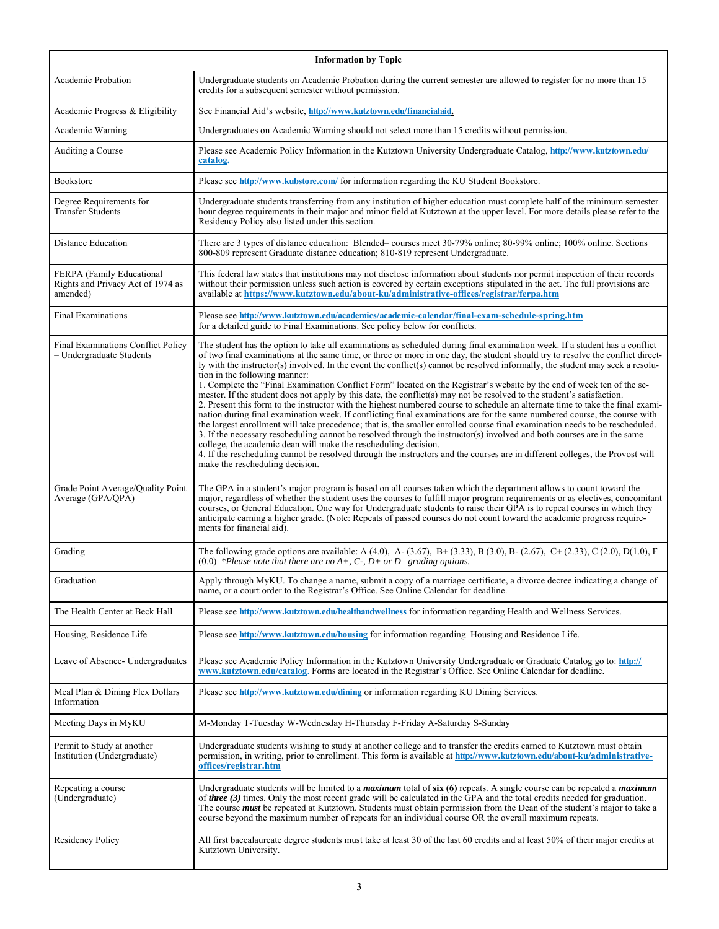| <b>Information by Topic</b>                                                |                                                                                                                                                                                                                                                                                                                                                                                                                                                                                                                                                                                                                                                                                                                                                                                                                                                                                                                                                                                                                                                                                                                                                                                                                                                                                                                                                                                                                                                        |  |  |
|----------------------------------------------------------------------------|--------------------------------------------------------------------------------------------------------------------------------------------------------------------------------------------------------------------------------------------------------------------------------------------------------------------------------------------------------------------------------------------------------------------------------------------------------------------------------------------------------------------------------------------------------------------------------------------------------------------------------------------------------------------------------------------------------------------------------------------------------------------------------------------------------------------------------------------------------------------------------------------------------------------------------------------------------------------------------------------------------------------------------------------------------------------------------------------------------------------------------------------------------------------------------------------------------------------------------------------------------------------------------------------------------------------------------------------------------------------------------------------------------------------------------------------------------|--|--|
| Academic Probation                                                         | Undergraduate students on Academic Probation during the current semester are allowed to register for no more than 15<br>credits for a subsequent semester without permission.                                                                                                                                                                                                                                                                                                                                                                                                                                                                                                                                                                                                                                                                                                                                                                                                                                                                                                                                                                                                                                                                                                                                                                                                                                                                          |  |  |
| Academic Progress & Eligibility                                            | See Financial Aid's website, http://www.kutztown.edu/financialaid.                                                                                                                                                                                                                                                                                                                                                                                                                                                                                                                                                                                                                                                                                                                                                                                                                                                                                                                                                                                                                                                                                                                                                                                                                                                                                                                                                                                     |  |  |
| Academic Warning                                                           | Undergraduates on Academic Warning should not select more than 15 credits without permission.                                                                                                                                                                                                                                                                                                                                                                                                                                                                                                                                                                                                                                                                                                                                                                                                                                                                                                                                                                                                                                                                                                                                                                                                                                                                                                                                                          |  |  |
| Auditing a Course                                                          | Please see Academic Policy Information in the Kutztown University Undergraduate Catalog, http://www.kutztown.edu/<br>catalog.                                                                                                                                                                                                                                                                                                                                                                                                                                                                                                                                                                                                                                                                                                                                                                                                                                                                                                                                                                                                                                                                                                                                                                                                                                                                                                                          |  |  |
| Bookstore                                                                  | Please see http://www.kubstore.com/ for information regarding the KU Student Bookstore.                                                                                                                                                                                                                                                                                                                                                                                                                                                                                                                                                                                                                                                                                                                                                                                                                                                                                                                                                                                                                                                                                                                                                                                                                                                                                                                                                                |  |  |
| Degree Requirements for<br><b>Transfer Students</b>                        | Undergraduate students transferring from any institution of higher education must complete half of the minimum semester<br>hour degree requirements in their major and minor field at Kutztown at the upper level. For more details please refer to the<br>Residency Policy also listed under this section.                                                                                                                                                                                                                                                                                                                                                                                                                                                                                                                                                                                                                                                                                                                                                                                                                                                                                                                                                                                                                                                                                                                                            |  |  |
| Distance Education                                                         | There are 3 types of distance education: Blended–courses meet 30-79% online; 80-99% online; 100% online. Sections<br>800-809 represent Graduate distance education; 810-819 represent Undergraduate.                                                                                                                                                                                                                                                                                                                                                                                                                                                                                                                                                                                                                                                                                                                                                                                                                                                                                                                                                                                                                                                                                                                                                                                                                                                   |  |  |
| FERPA (Family Educational<br>Rights and Privacy Act of 1974 as<br>amended) | This federal law states that institutions may not disclose information about students nor permit inspection of their records<br>without their permission unless such action is covered by certain exceptions stipulated in the act. The full provisions are<br>available at https://www.kutztown.edu/about-ku/administrative-offices/registrar/ferpa.htm                                                                                                                                                                                                                                                                                                                                                                                                                                                                                                                                                                                                                                                                                                                                                                                                                                                                                                                                                                                                                                                                                               |  |  |
| <b>Final Examinations</b>                                                  | Please see http://www.kutztown.edu/academics/academic-calendar/final-exam-schedule-spring.htm<br>for a detailed guide to Final Examinations. See policy below for conflicts.                                                                                                                                                                                                                                                                                                                                                                                                                                                                                                                                                                                                                                                                                                                                                                                                                                                                                                                                                                                                                                                                                                                                                                                                                                                                           |  |  |
| <b>Final Examinations Conflict Policy</b><br>Undergraduate Students        | The student has the option to take all examinations as scheduled during final examination week. If a student has a conflict<br>of two final examinations at the same time, or three or more in one day, the student should try to resolve the conflict direct-<br>ly with the instructor(s) involved. In the event the conflict(s) cannot be resolved informally, the student may seek a resolu-<br>tion in the following manner:<br>1. Complete the "Final Examination Conflict Form" located on the Registrar's website by the end of week ten of the se-<br>mester. If the student does not apply by this date, the conflict(s) may not be resolved to the student's satisfaction.<br>2. Present this form to the instructor with the highest numbered course to schedule an alternate time to take the final exami-<br>nation during final examination week. If conflicting final examinations are for the same numbered course, the course with<br>the largest enrollment will take precedence; that is, the smaller enrolled course final examination needs to be rescheduled.<br>3. If the necessary rescheduling cannot be resolved through the instructor(s) involved and both courses are in the same<br>college, the academic dean will make the rescheduling decision.<br>4. If the rescheduling cannot be resolved through the instructors and the courses are in different colleges, the Provost will<br>make the rescheduling decision. |  |  |
| Grade Point Average/Quality Point<br>Average (GPA/QPA)                     | The GPA in a student's major program is based on all courses taken which the department allows to count toward the<br>major, regardless of whether the student uses the courses to fulfill major program requirements or as electives, concomitant<br>courses, or General Education. One way for Undergraduate students to raise their GPA is to repeat courses in which they<br>anticipate earning a higher grade. (Note: Repeats of passed courses do not count toward the academic progress require-<br>ments for financial aid).                                                                                                                                                                                                                                                                                                                                                                                                                                                                                                                                                                                                                                                                                                                                                                                                                                                                                                                   |  |  |
| Grading                                                                    | The following grade options are available: A (4.0), A- (3.67), B+ (3.33), B (3.0), B- (2.67), C+ (2.33), C (2.0), D(1.0), F<br>$(0.0)$ *Please note that there are no A+, C-, D+ or D– grading options.                                                                                                                                                                                                                                                                                                                                                                                                                                                                                                                                                                                                                                                                                                                                                                                                                                                                                                                                                                                                                                                                                                                                                                                                                                                |  |  |
| Graduation                                                                 | Apply through MyKU. To change a name, submit a copy of a marriage certificate, a divorce decree indicating a change of<br>name, or a court order to the Registrar's Office. See Online Calendar for deadline.                                                                                                                                                                                                                                                                                                                                                                                                                                                                                                                                                                                                                                                                                                                                                                                                                                                                                                                                                                                                                                                                                                                                                                                                                                          |  |  |
| The Health Center at Beck Hall                                             | Please see http://www.kutztown.edu/healthandwellness for information regarding Health and Wellness Services.                                                                                                                                                                                                                                                                                                                                                                                                                                                                                                                                                                                                                                                                                                                                                                                                                                                                                                                                                                                                                                                                                                                                                                                                                                                                                                                                           |  |  |
| Housing, Residence Life                                                    | Please see http://www.kutztown.edu/housing for information regarding Housing and Residence Life.                                                                                                                                                                                                                                                                                                                                                                                                                                                                                                                                                                                                                                                                                                                                                                                                                                                                                                                                                                                                                                                                                                                                                                                                                                                                                                                                                       |  |  |
| Leave of Absence- Undergraduates                                           | Please see Academic Policy Information in the Kutztown University Undergraduate or Graduate Catalog go to: http://<br>www.kutztown.edu/catalog. Forms are located in the Registrar's Office. See Online Calendar for deadline.                                                                                                                                                                                                                                                                                                                                                                                                                                                                                                                                                                                                                                                                                                                                                                                                                                                                                                                                                                                                                                                                                                                                                                                                                         |  |  |
| Meal Plan & Dining Flex Dollars<br>Information                             | Please see http://www.kutztown.edu/dining or information regarding KU Dining Services.                                                                                                                                                                                                                                                                                                                                                                                                                                                                                                                                                                                                                                                                                                                                                                                                                                                                                                                                                                                                                                                                                                                                                                                                                                                                                                                                                                 |  |  |
| Meeting Days in MyKU                                                       | M-Monday T-Tuesday W-Wednesday H-Thursday F-Friday A-Saturday S-Sunday                                                                                                                                                                                                                                                                                                                                                                                                                                                                                                                                                                                                                                                                                                                                                                                                                                                                                                                                                                                                                                                                                                                                                                                                                                                                                                                                                                                 |  |  |
| Permit to Study at another<br>Institution (Undergraduate)                  | Undergraduate students wishing to study at another college and to transfer the credits earned to Kutztown must obtain<br>permission, in writing, prior to enrollment. This form is available at http://www.kutztown.edu/about-ku/administrative-<br>offices/registrar.htm                                                                                                                                                                                                                                                                                                                                                                                                                                                                                                                                                                                                                                                                                                                                                                                                                                                                                                                                                                                                                                                                                                                                                                              |  |  |
| Repeating a course<br>(Undergraduate)                                      | Undergraduate students will be limited to a <i>maximum</i> total of six (6) repeats. A single course can be repeated a <i>maximum</i><br>of three (3) times. Only the most recent grade will be calculated in the GPA and the total credits needed for graduation.<br>The course <i>must</i> be repeated at Kutztown. Students must obtain permission from the Dean of the student's major to take a<br>course beyond the maximum number of repeats for an individual course OR the overall maximum repeats.                                                                                                                                                                                                                                                                                                                                                                                                                                                                                                                                                                                                                                                                                                                                                                                                                                                                                                                                           |  |  |
| Residency Policy                                                           | All first baccalaureate degree students must take at least 30 of the last 60 credits and at least 50% of their major credits at<br>Kutztown University.                                                                                                                                                                                                                                                                                                                                                                                                                                                                                                                                                                                                                                                                                                                                                                                                                                                                                                                                                                                                                                                                                                                                                                                                                                                                                                |  |  |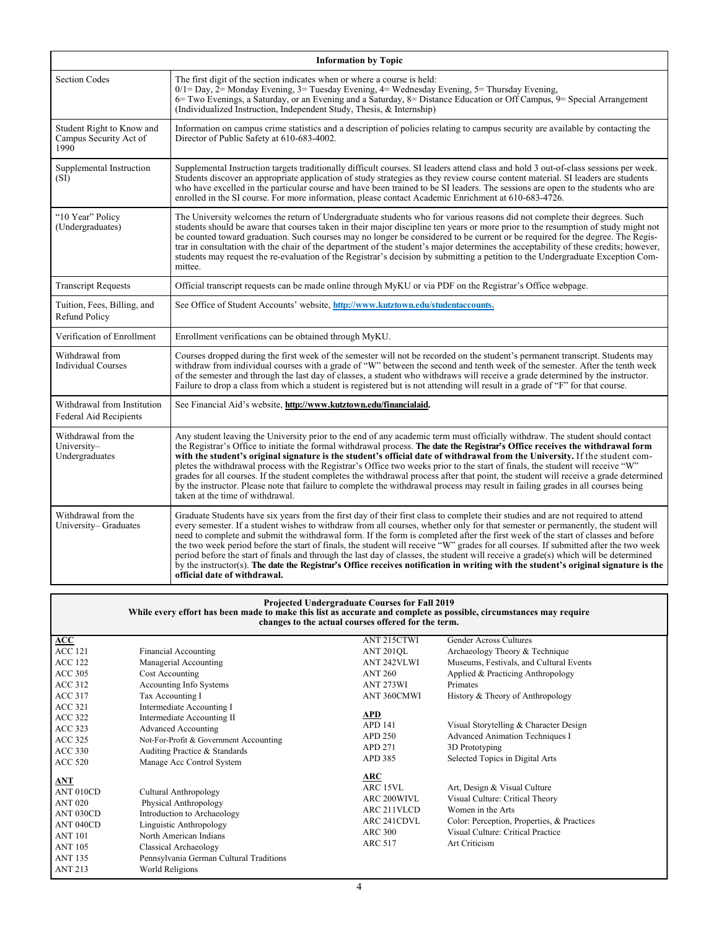|                                                              | <b>Information by Topic</b>                                                                                                                                                                                                                                                                                                                                                                                                                                                                                                                                                                                                                                                                                                                                                                                                                                       |
|--------------------------------------------------------------|-------------------------------------------------------------------------------------------------------------------------------------------------------------------------------------------------------------------------------------------------------------------------------------------------------------------------------------------------------------------------------------------------------------------------------------------------------------------------------------------------------------------------------------------------------------------------------------------------------------------------------------------------------------------------------------------------------------------------------------------------------------------------------------------------------------------------------------------------------------------|
| <b>Section Codes</b>                                         | The first digit of the section indicates when or where a course is held:<br>$0/1 =$ Day, $2 =$ Monday Evening, $3 =$ Tuesday Evening, $4 =$ Wednesday Evening, $5 =$ Thursday Evening,<br>6 Two Evenings, a Saturday, or an Evening and a Saturday, 8 = Distance Education or Off Campus, 9 = Special Arrangement<br>(Individualized Instruction, Independent Study, Thesis, & Internship)                                                                                                                                                                                                                                                                                                                                                                                                                                                                        |
| Student Right to Know and<br>Campus Security Act of<br>1990  | Information on campus crime statistics and a description of policies relating to campus security are available by contacting the<br>Director of Public Safety at 610-683-4002.                                                                                                                                                                                                                                                                                                                                                                                                                                                                                                                                                                                                                                                                                    |
| Supplemental Instruction<br>(SI)                             | Supplemental Instruction targets traditionally difficult courses. SI leaders attend class and hold 3 out-of-class sessions per week.<br>Students discover an appropriate application of study strategies as they review course content material. SI leaders are students<br>who have excelled in the particular course and have been trained to be SI leaders. The sessions are open to the students who are<br>enrolled in the SI course. For more information, please contact Academic Enrichment at 610-683-4726.                                                                                                                                                                                                                                                                                                                                              |
| "10 Year" Policy<br>(Undergraduates)                         | The University welcomes the return of Undergraduate students who for various reasons did not complete their degrees. Such<br>students should be aware that courses taken in their major discipline ten years or more prior to the resumption of study might not<br>be counted toward graduation. Such courses may no longer be considered to be current or be required for the degree. The Regis-<br>trar in consultation with the chair of the department of the student's major determines the acceptability of these credits; however,<br>students may request the re-evaluation of the Registrar's decision by submitting a petition to the Undergraduate Exception Com-<br>mittee.                                                                                                                                                                           |
| <b>Transcript Requests</b>                                   | Official transcript requests can be made online through MyKU or via PDF on the Registrar's Office webpage.                                                                                                                                                                                                                                                                                                                                                                                                                                                                                                                                                                                                                                                                                                                                                        |
| Tuition, Fees, Billing, and<br>Refund Policy                 | See Office of Student Accounts' website, http://www.kutztown.edu/studentaccounts.                                                                                                                                                                                                                                                                                                                                                                                                                                                                                                                                                                                                                                                                                                                                                                                 |
| Verification of Enrollment                                   | Enrollment verifications can be obtained through MyKU.                                                                                                                                                                                                                                                                                                                                                                                                                                                                                                                                                                                                                                                                                                                                                                                                            |
| Withdrawal from<br><b>Individual Courses</b>                 | Courses dropped during the first week of the semester will not be recorded on the student's permanent transcript. Students may<br>withdraw from individual courses with a grade of "W" between the second and tenth week of the semester. After the tenth week<br>of the semester and through the last day of classes, a student who withdraws will receive a grade determined by the instructor.<br>Failure to drop a class from which a student is registered but is not attending will result in a grade of "F" for that course.                                                                                                                                                                                                                                                                                                                               |
| Withdrawal from Institution<br><b>Federal Aid Recipients</b> | See Financial Aid's website, http://www.kutztown.edu/financialaid.                                                                                                                                                                                                                                                                                                                                                                                                                                                                                                                                                                                                                                                                                                                                                                                                |
| Withdrawal from the<br>University-<br>Undergraduates         | Any student leaving the University prior to the end of any academic term must officially withdraw. The student should contact<br>the Registrar's Office to initiate the formal withdrawal process. The date the Registrar's Office receives the withdrawal form<br>with the student's original signature is the student's official date of withdrawal from the University. If the student com-<br>pletes the withdrawal process with the Registrar's Office two weeks prior to the start of finals, the student will receive "W"<br>grades for all courses. If the student completes the withdrawal process after that point, the student will receive a grade determined<br>by the instructor. Please note that failure to complete the withdrawal process may result in failing grades in all courses being<br>taken at the time of withdrawal.                 |
| Withdrawal from the<br>University-Graduates                  | Graduate Students have six years from the first day of their first class to complete their studies and are not required to attend<br>every semester. If a student wishes to withdraw from all courses, whether only for that semester or permanently, the student will<br>need to complete and submit the withdrawal form. If the form is completed after the first week of the start of classes and before<br>the two week period before the start of finals, the student will receive "W" grades for all courses. If submitted after the two week<br>period before the start of finals and through the last day of classes, the student will receive a grade(s) which will be determined<br>by the instructor(s). The date the Registrar's Office receives notification in writing with the student's original signature is the<br>official date of withdrawal. |

| <b>Projected Undergraduate Courses for Fall 2019</b><br>While every effort has been made to make this list as accurate and complete as possible, circumstances may require<br>changes to the actual courses offered for the term. |                                         |                    |                                            |  |
|-----------------------------------------------------------------------------------------------------------------------------------------------------------------------------------------------------------------------------------|-----------------------------------------|--------------------|--------------------------------------------|--|
| $\bf ACC$                                                                                                                                                                                                                         |                                         | ANT 215CTWI        | Gender Across Cultures                     |  |
| <b>ACC 121</b>                                                                                                                                                                                                                    | Financial Accounting                    | <b>ANT 201QL</b>   | Archaeology Theory & Technique             |  |
| <b>ACC 122</b>                                                                                                                                                                                                                    | Managerial Accounting                   | <b>ANT 242VLWI</b> | Museums, Festivals, and Cultural Events    |  |
| <b>ACC 305</b>                                                                                                                                                                                                                    | Cost Accounting                         | <b>ANT 260</b>     | Applied & Practicing Anthropology          |  |
| ACC 312                                                                                                                                                                                                                           | Accounting Info Systems                 | ANT 273WI          | Primates                                   |  |
| ACC 317                                                                                                                                                                                                                           | Tax Accounting I                        | ANT 360CMWI        | History & Theory of Anthropology           |  |
| ACC 321                                                                                                                                                                                                                           | Intermediate Accounting I               |                    |                                            |  |
| ACC 322                                                                                                                                                                                                                           | Intermediate Accounting II              | <b>APD</b>         |                                            |  |
| ACC 323                                                                                                                                                                                                                           | <b>Advanced Accounting</b>              | <b>APD 141</b>     | Visual Storytelling & Character Design     |  |
| ACC 325                                                                                                                                                                                                                           | Not-For-Profit & Government Accounting  | <b>APD 250</b>     | <b>Advanced Animation Techniques I</b>     |  |
| <b>ACC 330</b>                                                                                                                                                                                                                    | Auditing Practice & Standards           | APD 271            | 3D Prototyping                             |  |
| <b>ACC 520</b>                                                                                                                                                                                                                    | Manage Acc Control System               | APD 385            | Selected Topics in Digital Arts            |  |
| ANT                                                                                                                                                                                                                               |                                         | ARC                |                                            |  |
| ANT 010CD                                                                                                                                                                                                                         | Cultural Anthropology                   | ARC 15VL           | Art, Design & Visual Culture               |  |
| <b>ANT 020</b>                                                                                                                                                                                                                    | Physical Anthropology                   | ARC 200WIVL        | Visual Culture: Critical Theory            |  |
| ANT 030CD                                                                                                                                                                                                                         | Introduction to Archaeology             | ARC 211VLCD        | Women in the Arts                          |  |
| ANT 040CD                                                                                                                                                                                                                         | Linguistic Anthropology                 | ARC 241CDVL        | Color: Perception, Properties, & Practices |  |
| <b>ANT 101</b>                                                                                                                                                                                                                    | North American Indians                  | <b>ARC 300</b>     | Visual Culture: Critical Practice          |  |
| <b>ANT 105</b>                                                                                                                                                                                                                    | Classical Archaeology                   | <b>ARC 517</b>     | Art Criticism                              |  |
| <b>ANT 135</b>                                                                                                                                                                                                                    | Pennsylvania German Cultural Traditions |                    |                                            |  |
| <b>ANT 213</b>                                                                                                                                                                                                                    | World Religions                         |                    |                                            |  |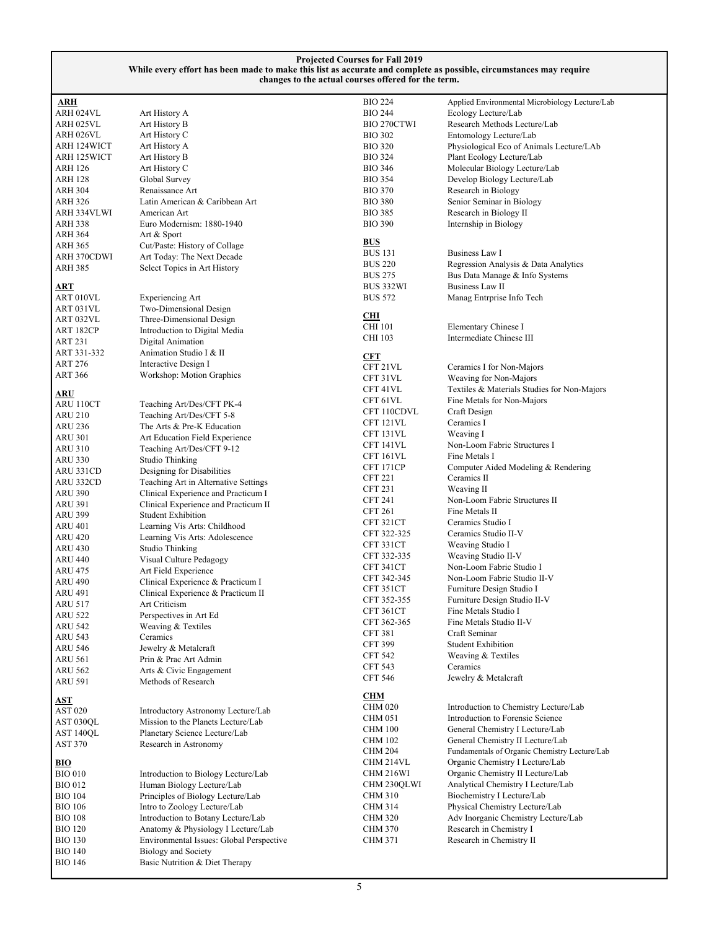| ARH 124WICT    | Art History A                 |
|----------------|-------------------------------|
| ARH 125WICT    | Art History B                 |
| <b>ARH 126</b> | Art History C                 |
| ARH 128        | Global Survey                 |
| <b>ARH 304</b> | Renaissance Art               |
| <b>ARH 326</b> | Latin American & Caribbean    |
| ARH 334VLWI    | American Art                  |
| <b>ARH 338</b> | Euro Modernism: 1880-1940     |
| ARH 364        | Art & Sport                   |
| <b>ARH 365</b> | Cut/Paste: History of Collage |
| ARH 370CDWI    | Art Today: The Next Decade    |
| <b>ARH 385</b> | Select Topics in Art History  |
| <b>ART</b>     |                               |
| ART 010VL      | <b>Experiencing Art</b>       |
| ART 031VL      | Two-Dimensional Design        |
| ART 032VL      | Three-Dimensional Design      |
| ART 182CP      | Introduction to Digital Media |
| <b>ART 231</b> | Digital Animation             |
| ART 331-332    | Animation Studio I & II       |
| <b>ART 276</b> | Interactive Design I          |
| <b>ART 366</b> | Workshop: Motion Graphics     |
| ARU            |                               |
| ARU 110CT      | Teaching Art/Des/CFT PK-4     |
| <b>ARU 210</b> | Teaching Art/Des/CFT 5-8      |
| <b>ARU 236</b> | The Arts & Pre-K Education    |
| <b>ARU 301</b> | Art Education Field Experien  |
| <b>ARU 310</b> | Teaching Art/Des/CFT 9-12     |
| <b>ARU 330</b> | <b>Studio Thinking</b>        |
| ARU 331CD      | Designing for Disabilities    |
| ARU 332CD      | Teaching Art in Alternative S |
| <b>ARU 390</b> | Clinical Experience and Pract |
| <b>ARU 391</b> | Clinical Experience and Pract |
| <b>ARU 399</b> | <b>Student Exhibition</b>     |
| <b>ARU 401</b> | Learning Vis Arts: Childhood  |
| <b>ARU 420</b> | Learning Vis Arts: Adolescer  |
| <b>ARU 430</b> | Studio Thinking               |
| <b>ARU 440</b> | Visual Culture Pedagogy       |
| <b>ARU 475</b> | Art Field Experience          |
| <b>ARU 490</b> | Clinical Experience & Practic |
| <b>ARU 491</b> | Clinical Experience & Practic |
| <b>ARU 517</b> | Art Criticism                 |
| <b>ARU 522</b> | Perspectives in Art Ed        |
| <b>ARU 542</b> | Weaving & Textiles            |
| <b>ARU 543</b> | Ceramics                      |
| <b>ARU 546</b> | Jewelry & Metalcraft          |
| <b>ARU 561</b> | Prin & Prac Art Admin         |
| <b>ARU 562</b> | Arts & Civic Engagement       |

**ARH** 

Art History A

Art History C

Latin American & Caribbean Art

Teaching Art/Des/CFT PK-4 Teaching Art/Des/CFT 5-8 The Arts & Pre-K Education Art Education Field Experience Teaching Art/Des/CFT 9-12

Studio Thinking Designing for Disabilities Teaching Art in Alternative Settings Clinical Experience and Practicum I Clinical Experience and Practicum II

**Student Exhibition** Learning Vis Arts: Childhood Learning Vis Arts: Adolescence

Clinical Experience & Practicum I Clinical Experience & Practicum II

ARH 025VL<br>ARH 026VL<br>Art History C

| <b>ARU 591</b> | Methods of Research |
|----------------|---------------------|
| AST            |                     |

| 71.J L         |                                     |
|----------------|-------------------------------------|
| <b>AST 020</b> | Introductory Astronomy Lecture/Lab  |
| AST 030OL      | Mission to the Planets Lecture/Lab  |
| AST 140QL      | Planetary Science Lecture/Lab       |
| <b>AST 370</b> | Research in Astronomy               |
| BIO            |                                     |
| <b>BIO 010</b> | Introduction to Biology Lecture/Lab |
|                |                                     |

| DIU VIU        | Introduction to Biology Lecture/Lab      |
|----------------|------------------------------------------|
| <b>BIO 012</b> | Human Biology Lecture/Lab                |
| <b>BIO 104</b> | Principles of Biology Lecture/Lab        |
| <b>BIO 106</b> | Intro to Zoology Lecture/Lab             |
| <b>BIO 108</b> | Introduction to Botany Lecture/Lab       |
| <b>BIO 120</b> | Anatomy & Physiology I Lecture/Lab       |
| <b>BIO 130</b> | Environmental Issues: Global Perspective |
| <b>BIO 140</b> | <b>Biology and Society</b>               |
| <b>BIO 146</b> | Basic Nutrition & Diet Therapy           |
|                |                                          |

| urses offered for the term. |                                                |
|-----------------------------|------------------------------------------------|
| <b>BIO 224</b>              | Applied Environmental Microbiology Lecture/Lab |
| <b>BIO 244</b>              | Ecology Lecture/Lab                            |
| <b>BIO 270CTWI</b>          | Research Methods Lecture/Lab                   |
| <b>BIO 302</b>              | Entomology Lecture/Lab                         |
| <b>BIO 320</b>              | Physiological Eco of Animals Lecture/LAb       |
| <b>BIO 324</b>              | Plant Ecology Lecture/Lab                      |
| <b>BIO 346</b>              | Molecular Biology Lecture/Lab                  |
| <b>BIO 354</b>              | Develop Biology Lecture/Lab                    |
| <b>BIO 370</b>              | Research in Biology                            |
| <b>BIO 380</b>              | Senior Seminar in Biology                      |
| <b>BIO 385</b>              | Research in Biology II                         |
| <b>BIO 390</b>              | Internship in Biology                          |
|                             |                                                |
| BUS                         |                                                |
| BUS 131                     | Business Law I                                 |
| <b>BUS 220</b>              | Regression Analysis & Data Analytics           |
| <b>BUS 275</b>              | Bus Data Manage & Info Systems                 |
| BUS 332WI                   | Business Law II                                |
| <b>BUS 572</b>              | Manag Entrprise Info Tech                      |
| <u>СHI</u>                  |                                                |
| CHI 101                     | Elementary Chinese I                           |
| CHI 103                     | Intermediate Chinese III                       |
| <u>CFT</u>                  |                                                |
| CFT 21VL                    | Ceramics I for Non-Majors                      |
| CFT 31VL                    | Weaving for Non-Majors                         |
| CFT 41VL                    | Textiles & Materials Studies for Non-Majors    |
| CFT 61VL                    | Fine Metals for Non-Majors                     |
| CFT 110CDVL                 | Craft Design                                   |
| CFT 121VL                   | Ceramics I                                     |
| CFT 131VL                   | Weaving I                                      |
| CFT 141VL                   | Non-Loom Fabric Structures I                   |
| CFT 161VL                   | Fine Metals I                                  |
| CFT 171CP                   | Computer Aided Modeling & Rendering            |
| <b>CFT 221</b>              | Ceramics II                                    |
| <b>CFT 231</b>              | Weaving II                                     |
| <b>CFT 241</b>              | Non-Loom Fabric Structures II                  |
| CFT 261                     | Fine Metals II                                 |
| CFT 321CT                   | Ceramics Studio I                              |
| CFT 322-325                 | Ceramics Studio II-V                           |
| CFT 331CT                   | Weaving Studio I                               |
| CFT 332-335                 | Weaving Studio II-V                            |
| CFT 341CT                   | Non-Loom Fabric Studio I                       |
| CFT 342-345                 | Non-Loom Fabric Studio II-V                    |
| CFT 351CT                   | Furniture Design Studio I                      |
| CFT 352-355                 | Furniture Design Studio II-V                   |
| CFT 361CT                   | Fine Metals Studio I                           |
| CFT 362-365                 | Fine Metals Studio II-V                        |
| <b>CFT 381</b>              | Craft Seminar                                  |
| <b>CFT 399</b>              | <b>Student Exhibition</b>                      |
| <b>CFT 542</b>              | Weaving & Textiles                             |
| <b>CFT 543</b>              | Ceramics                                       |
| <b>CFT 546</b>              | Jewelry & Metalcraft                           |
| <b>CHM</b>                  |                                                |
| <b>CHM 020</b>              | Introduction to Chemistry Lecture/Lab          |
| <b>CHM 051</b>              | Introduction to Forensic Science               |
| <b>CHM 100</b>              | General Chemistry I Lecture/Lab                |
| <b>CHM 102</b>              | General Chemistry II Lecture/Lab               |
| <b>CHM 204</b>              | Fundamentals of Organic Chemistry Lecture/Lab  |
| CHM 214VL                   | Organic Chemistry I Lecture/Lab                |
| CHM 216WI                   | Organic Chemistry II Lecture/Lab               |
| CHM 230QLWI                 | Analytical Chemistry I Lecture/Lab             |
| <b>CHM 310</b>              | Biochemistry I Lecture/Lab                     |
| <b>CHM 314</b>              | Physical Chemistry Lecture/Lab                 |
| <b>CHM 320</b>              | Adv Inorganic Chemistry Lecture/Lab            |
| <b>CHM 370</b>              | Research in Chemistry I                        |
| CHM 371                     | Research in Chemistry II                       |
|                             |                                                |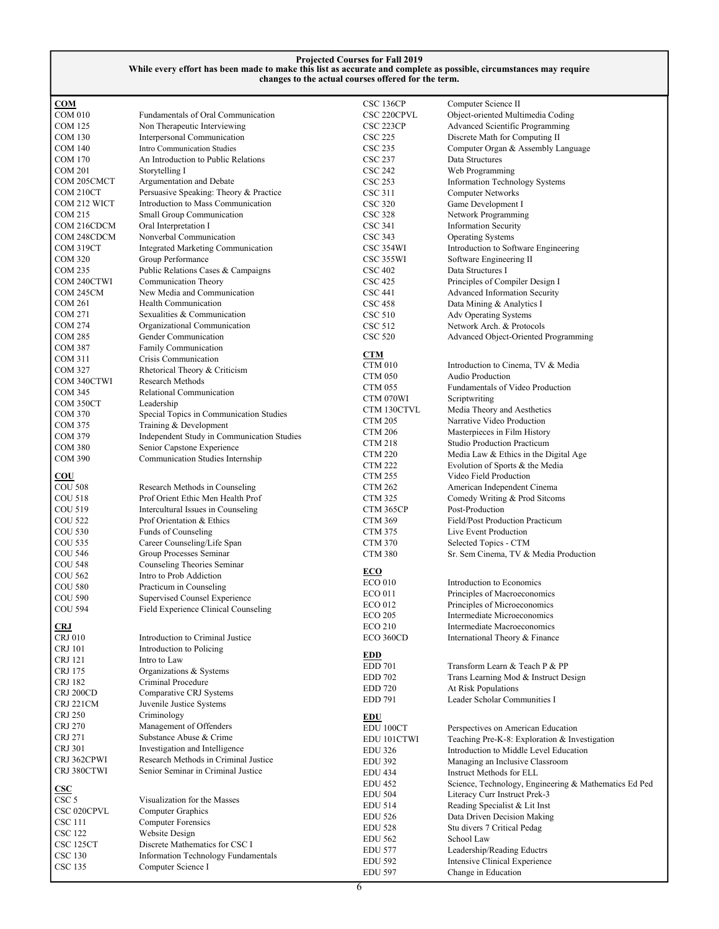| COM                  |                                            | CSC 136CP      | Computer Science II                                   |
|----------------------|--------------------------------------------|----------------|-------------------------------------------------------|
| COM 010              | Fundamentals of Oral Communication         | CSC 220CPVL    | Object-oriented Multimedia Coding                     |
|                      |                                            |                |                                                       |
| <b>COM 125</b>       | Non Therapeutic Interviewing               | CSC 223CP      | Advanced Scientific Programming                       |
| <b>COM 130</b>       | Interpersonal Communication                | <b>CSC 225</b> | Discrete Math for Computing II                        |
| <b>COM 140</b>       | Intro Communication Studies                | <b>CSC 235</b> | Computer Organ & Assembly Language                    |
| COM 170              | An Introduction to Public Relations        | <b>CSC 237</b> | Data Structures                                       |
|                      |                                            |                |                                                       |
| COM 201              | Storytelling I                             | <b>CSC 242</b> | Web Programming                                       |
| COM 205CMCT          | Argumentation and Debate                   | <b>CSC 253</b> | <b>Information Technology Systems</b>                 |
| COM 210CT            | Persuasive Speaking: Theory & Practice     | CSC 311        | Computer Networks                                     |
| COM 212 WICT         | Introduction to Mass Communication         | <b>CSC 320</b> |                                                       |
|                      |                                            |                | Game Development I                                    |
| COM 215              | Small Group Communication                  | <b>CSC 328</b> | Network Programming                                   |
| COM 216CDCM          | Oral Interpretation I                      | <b>CSC 341</b> | <b>Information Security</b>                           |
| COM 248CDCM          | Nonverbal Communication                    | CSC 343        | <b>Operating Systems</b>                              |
|                      |                                            |                |                                                       |
| COM 319CT            | Integrated Marketing Communication         | CSC 354WI      | Introduction to Software Engineering                  |
| <b>COM 320</b>       | Group Performance                          | CSC 355WI      | Software Engineering II                               |
| COM 235              | Public Relations Cases & Campaigns         | <b>CSC 402</b> | Data Structures I                                     |
| COM 240CTWI          | Communication Theory                       | <b>CSC 425</b> | Principles of Compiler Design I                       |
|                      | New Media and Communication                |                |                                                       |
| COM 245CM            |                                            | <b>CSC 441</b> | Advanced Information Security                         |
| COM 261              | Health Communication                       | <b>CSC 458</b> | Data Mining & Analytics I                             |
| COM 271              | Sexualities & Communication                | CSC 510        | Adv Operating Systems                                 |
| COM 274              | Organizational Communication               | CSC 512        | Network Arch. & Protocols                             |
| COM 285              |                                            |                |                                                       |
|                      | Gender Communication                       | <b>CSC 520</b> | Advanced Object-Oriented Programming                  |
| <b>COM 387</b>       | Family Communication                       |                |                                                       |
| COM 311              | Crisis Communication                       | CTM            |                                                       |
| COM 327              | Rhetorical Theory & Criticism              | <b>CTM 010</b> | Introduction to Cinema, TV & Media                    |
|                      |                                            | <b>CTM 050</b> | Audio Production                                      |
| COM 340CTWI          | Research Methods                           | <b>CTM 055</b> | Fundamentals of Video Production                      |
| COM 345              | Relational Communication                   |                |                                                       |
| COM 350CT            | Leadership                                 | CTM 070WI      | Scriptwriting                                         |
| <b>COM 370</b>       | Special Topics in Communication Studies    | CTM 130CTVL    | Media Theory and Aesthetics                           |
|                      |                                            | <b>CTM 205</b> | Narrative Video Production                            |
| <b>COM 375</b>       | Training & Development                     | <b>CTM 206</b> | Masterpieces in Film History                          |
| COM 379              | Independent Study in Communication Studies |                |                                                       |
| <b>COM 380</b>       | Senior Capstone Experience                 | <b>CTM 218</b> | <b>Studio Production Practicum</b>                    |
| <b>COM 390</b>       | Communication Studies Internship           | <b>CTM 220</b> | Media Law & Ethics in the Digital Age                 |
|                      |                                            | <b>CTM 222</b> | Evolution of Sports & the Media                       |
| $_{\rm COU}$         |                                            | <b>CTM 255</b> | Video Field Production                                |
|                      |                                            |                |                                                       |
| <b>COU 508</b>       | Research Methods in Counseling             | <b>CTM 262</b> | American Independent Cinema                           |
| <b>COU 518</b>       | Prof Orient Ethic Men Health Prof          | <b>CTM 325</b> | Comedy Writing & Prod Sitcoms                         |
| COU 519              | Intercultural Issues in Counseling         | CTM 365CP      | Post-Production                                       |
| <b>COU 522</b>       | Prof Orientation & Ethics                  | <b>CTM 369</b> | Field/Post Production Practicum                       |
|                      |                                            |                |                                                       |
| <b>COU 530</b>       | Funds of Counseling                        | <b>CTM 375</b> | Live Event Production                                 |
| <b>COU 535</b>       | Career Counseling/Life Span                | <b>CTM 370</b> | Selected Topics - CTM                                 |
| <b>COU 546</b>       | Group Processes Seminar                    | <b>CTM 380</b> | Sr. Sem Cinema, TV & Media Production                 |
| <b>COU 548</b>       | Counseling Theories Seminar                |                |                                                       |
|                      |                                            | <b>ECO</b>     |                                                       |
| <b>COU 562</b>       | Intro to Prob Addiction                    | <b>ECO 010</b> | Introduction to Economics                             |
| <b>COU 580</b>       | Practicum in Counseling                    |                |                                                       |
| <b>COU 590</b>       | Supervised Counsel Experience              | <b>ECO 011</b> | Principles of Macroeconomics                          |
| <b>COU 594</b>       | Field Experience Clinical Counseling       | <b>ECO 012</b> | Principles of Microeconomics                          |
|                      |                                            | <b>ECO 205</b> | Intermediate Microeconomics                           |
| <b>CRJ</b>           |                                            | <b>ECO 210</b> | Intermediate Macroeconomics                           |
|                      |                                            |                |                                                       |
| CRJ 010              | Introduction to Criminal Justice           | ECO 360CD      | International Theory & Finance                        |
| <b>CRJ</b> 101       | Introduction to Policing                   |                |                                                       |
| <b>CRJ 121</b>       | Intro to Law                               | <b>EDD</b>     |                                                       |
| CRJ 175              | Organizations & Systems                    | <b>EDD 701</b> | Transform Learn & Teach P & PP                        |
|                      |                                            | <b>EDD 702</b> | Trans Learning Mod & Instruct Design                  |
| CRJ 182              | Criminal Procedure                         | <b>EDD 720</b> | At Risk Populations                                   |
| CRJ 200CD            | Comparative CRJ Systems                    |                |                                                       |
| CRJ 221CM            | Juvenile Justice Systems                   | EDD 791        | Leader Scholar Communities I                          |
| <b>CRJ 250</b>       | Criminology                                |                |                                                       |
|                      |                                            | <b>EDU</b>     |                                                       |
| CRJ 270              | Management of Offenders                    | EDU 100CT      | Perspectives on American Education                    |
| <b>CRJ 271</b>       | Substance Abuse & Crime                    | EDU 101CTWI    | Teaching Pre-K-8: Exploration & Investigation         |
| CRJ 301              | Investigation and Intelligence             | <b>EDU 326</b> | Introduction to Middle Level Education                |
| CRJ 362CPWI          | Research Methods in Criminal Justice       |                |                                                       |
|                      |                                            | <b>EDU 392</b> | Managing an Inclusive Classroom                       |
| CRJ 380CTWI          | Senior Seminar in Criminal Justice         | <b>EDU 434</b> | Instruct Methods for ELL                              |
|                      |                                            | <b>EDU 452</b> | Science, Technology, Engineering & Mathematics Ed Ped |
| $\overline{\bf CSC}$ |                                            | <b>EDU 504</b> | Literacy Curr Instruct Prek-3                         |
| CSC 5                | Visualization for the Masses               |                |                                                       |
| CSC 020CPVL          | Computer Graphics                          | <b>EDU 514</b> | Reading Specialist & Lit Inst                         |
|                      |                                            | <b>EDU 526</b> | Data Driven Decision Making                           |
| CSC 111              | Computer Forensics                         | <b>EDU 528</b> | Stu divers 7 Critical Pedag                           |
| <b>CSC 122</b>       | Website Design                             | <b>EDU 562</b> | School Law                                            |
| CSC 125CT            | Discrete Mathematics for CSC I             |                |                                                       |
| <b>CSC 130</b>       | <b>Information Technology Fundamentals</b> | <b>EDU 577</b> | Leadership/Reading Eductrs                            |
|                      |                                            | <b>EDU 592</b> | Intensive Clinical Experience                         |
| <b>CSC 135</b>       | Computer Science I                         | <b>EDU 597</b> | Change in Education                                   |
|                      |                                            |                |                                                       |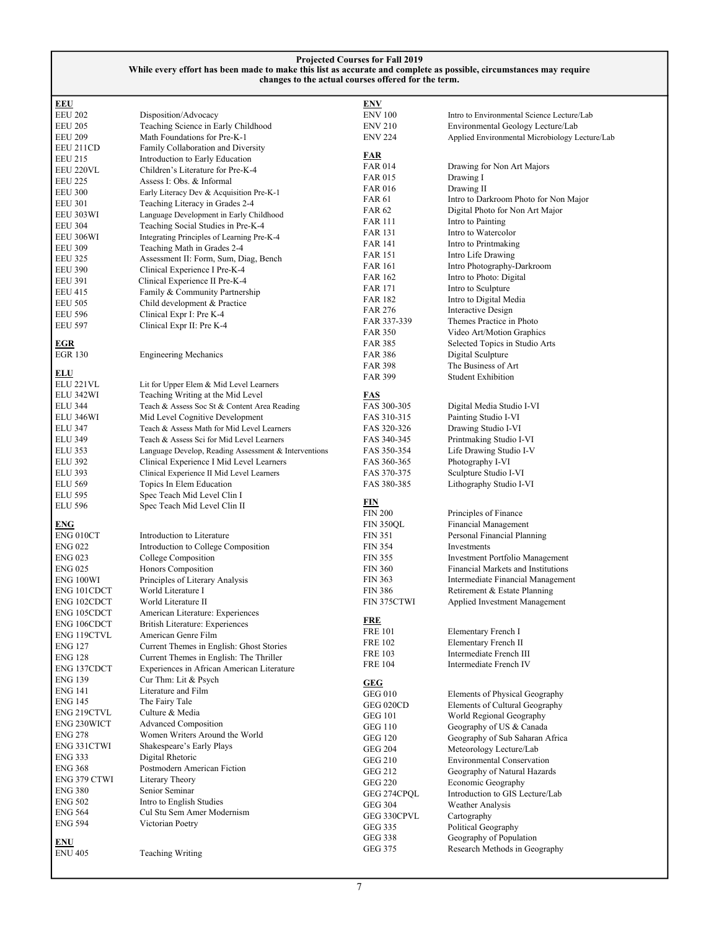| <b>EEU</b>                   |                                                      | <u>ENV</u>                       |                                                              |
|------------------------------|------------------------------------------------------|----------------------------------|--------------------------------------------------------------|
| <b>EEU 202</b>               | Disposition/Advocacy                                 | <b>ENV 100</b>                   | Intro to Environmental Science Lecture/Lab                   |
| <b>EEU 205</b>               | Teaching Science in Early Childhood                  | <b>ENV 210</b>                   | Environmental Geology Lecture/Lab                            |
| <b>EEU 209</b>               | Math Foundations for Pre-K-1                         | <b>ENV 224</b>                   | Applied Environmental Microbiology Lecture/Lab               |
| EEU 211CD                    | Family Collaboration and Diversity                   |                                  |                                                              |
| <b>EEU 215</b>               | Introduction to Early Education                      | <b>FAR</b>                       |                                                              |
| EEU 220VL                    | Children's Literature for Pre-K-4                    | <b>FAR 014</b>                   | Drawing for Non Art Majors                                   |
| <b>EEU 225</b>               | Assess I: Obs. & Informal                            | <b>FAR 015</b>                   | Drawing I                                                    |
| <b>EEU 300</b>               | Early Literacy Dev & Acquisition Pre-K-1             | <b>FAR 016</b>                   | Drawing II                                                   |
| <b>EEU 301</b>               | Teaching Literacy in Grades 2-4                      | <b>FAR 61</b>                    | Intro to Darkroom Photo for Non Major                        |
| EEU 303WI                    | Language Development in Early Childhood              | <b>FAR 62</b>                    | Digital Photo for Non Art Major                              |
| <b>EEU 304</b>               | Teaching Social Studies in Pre-K-4                   | <b>FAR 111</b>                   | Intro to Painting                                            |
| EEU 306WI                    | Integrating Principles of Learning Pre-K-4           | <b>FAR 131</b>                   | Intro to Watercolor                                          |
| <b>EEU 309</b>               | Teaching Math in Grades 2-4                          | FAR 141                          | Intro to Printmaking                                         |
| <b>EEU 325</b>               | Assessment II: Form, Sum, Diag, Bench                | FAR 151                          | Intro Life Drawing                                           |
| <b>EEU 390</b>               | Clinical Experience I Pre-K-4                        | FAR 161                          | Intro Photography-Darkroom                                   |
| <b>EEU 391</b>               | Clinical Experience II Pre-K-4                       | FAR 162                          | Intro to Photo: Digital                                      |
| <b>EEU 415</b>               | Family & Community Partnership                       | <b>FAR 171</b>                   | Intro to Sculpture                                           |
| <b>EEU 505</b>               | Child development & Practice                         | FAR 182                          | Intro to Digital Media                                       |
| <b>EEU 596</b>               | Clinical Expr I: Pre K-4                             | <b>FAR 276</b>                   | Interactive Design                                           |
| <b>EEU 597</b>               | Clinical Expr II: Pre K-4                            | FAR 337-339                      | Themes Practice in Photo                                     |
|                              |                                                      | <b>FAR 350</b>                   | Video Art/Motion Graphics                                    |
| <b>EGR</b>                   |                                                      | FAR 385                          | Selected Topics in Studio Arts                               |
| EGR 130                      | <b>Engineering Mechanics</b>                         | <b>FAR 386</b>                   | Digital Sculpture                                            |
|                              |                                                      | <b>FAR 398</b>                   | The Business of Art                                          |
| <u>ELU</u><br>ELU 221VL      | Lit for Upper Elem & Mid Level Learners              | <b>FAR 399</b>                   | <b>Student Exhibition</b>                                    |
| ELU 342WI                    | Teaching Writing at the Mid Level                    |                                  |                                                              |
| <b>ELU 344</b>               | Teach & Assess Soc St & Content Area Reading         | <u>FAS</u><br>FAS 300-305        | Digital Media Studio I-VI                                    |
| <b>ELU 346WI</b>             | Mid Level Cognitive Development                      | FAS 310-315                      | Painting Studio I-VI                                         |
| <b>ELU 347</b>               | Teach & Assess Math for Mid Level Learners           | FAS 320-326                      | Drawing Studio I-VI                                          |
| <b>ELU 349</b>               | Teach & Assess Sci for Mid Level Learners            | FAS 340-345                      | Printmaking Studio I-VI                                      |
| <b>ELU 353</b>               | Language Develop, Reading Assessment & Interventions | FAS 350-354                      | Life Drawing Studio I-V                                      |
| <b>ELU 392</b>               | Clinical Experience I Mid Level Learners             | FAS 360-365                      | Photography I-VI                                             |
| <b>ELU 393</b>               | Clinical Experience II Mid Level Learners            | FAS 370-375                      | Sculpture Studio I-VI                                        |
| <b>ELU 569</b>               | Topics In Elem Education                             | FAS 380-385                      | Lithography Studio I-VI                                      |
| <b>ELU 595</b>               | Spec Teach Mid Level Clin I                          |                                  |                                                              |
| <b>ELU 596</b>               |                                                      | FIN                              |                                                              |
|                              | Spec Teach Mid Level Clin II                         | <b>FIN 200</b>                   | Principles of Finance                                        |
| <b>ENG</b>                   |                                                      | <b>FIN 350QL</b>                 | Financial Management                                         |
| ENG <sub>010</sub> CT        | Introduction to Literature                           | <b>FIN 351</b>                   | Personal Financial Planning                                  |
| <b>ENG 022</b>               | Introduction to College Composition                  | <b>FIN 354</b>                   | Investments                                                  |
| <b>ENG 023</b>               | College Composition                                  | <b>FIN 355</b>                   | <b>Investment Portfolio Management</b>                       |
| <b>ENG 025</b>               | Honors Composition                                   | <b>FIN 360</b>                   | Financial Markets and Institutions                           |
| ENG 100WI                    | Principles of Literary Analysis                      | <b>FIN 363</b>                   | Intermediate Financial Management                            |
| ENG 101CDCT                  | World Literature I                                   | <b>FIN 386</b>                   | Retirement & Estate Planning                                 |
| ENG 102CDCT                  | World Literature II                                  | FIN 375CTWI                      | Applied Investment Management                                |
| ENG 105CDCT                  | American Literature: Experiences                     |                                  |                                                              |
| ENG 106CDCT                  | <b>British Literature: Experiences</b>               | <b>FRE</b>                       |                                                              |
| ENG 119CTVL                  | American Genre Film                                  | <b>FRE 101</b>                   | Elementary French I                                          |
| ENG 127                      | Current Themes in English: Ghost Stories             | <b>FRE 102</b>                   | Elementary French II                                         |
| ENG 128                      |                                                      | <b>FRE 103</b>                   | Intermediate French III                                      |
|                              | Current Themes in English: The Thriller              |                                  |                                                              |
| ENG 137CDCT                  | Experiences in African American Literature           | <b>FRE 104</b>                   | Intermediate French IV                                       |
| <b>ENG 139</b>               | Cur Thm: Lit & Psych                                 |                                  |                                                              |
| ENG 141                      | Literature and Film                                  | <b>GEG</b>                       |                                                              |
| ENG 145                      | The Fairy Tale                                       | <b>GEG 010</b>                   | Elements of Physical Geography                               |
| ENG 219CTVL                  | Culture & Media                                      | GEG 020CD                        | Elements of Cultural Geography                               |
| ENG 230WICT                  | <b>Advanced Composition</b>                          | <b>GEG 101</b>                   | World Regional Geography                                     |
| <b>ENG 278</b>               | Women Writers Around the World                       | <b>GEG 110</b><br><b>GEG 120</b> | Geography of US & Canada                                     |
| ENG 331CTWI                  | Shakespeare's Early Plays                            | <b>GEG 204</b>                   | Geography of Sub Saharan Africa                              |
| <b>ENG 333</b>               | Digital Rhetoric                                     |                                  | Meteorology Lecture/Lab<br><b>Environmental Conservation</b> |
| <b>ENG 368</b>               | Postmodern American Fiction                          | <b>GEG 210</b>                   |                                                              |
| ENG 379 CTWI                 | Literary Theory                                      | <b>GEG 212</b>                   | Geography of Natural Hazards                                 |
| <b>ENG 380</b>               | Senior Seminar                                       | <b>GEG 220</b>                   | Economic Geography<br>Introduction to GIS Lecture/Lab        |
| <b>ENG 502</b>               | Intro to English Studies                             | GEG 274CPQL<br><b>GEG 304</b>    |                                                              |
| <b>ENG 564</b>               | Cul Stu Sem Amer Modernism                           | GEG 330CPVL                      | <b>Weather Analysis</b>                                      |
| <b>ENG 594</b>               | Victorian Poetry                                     | <b>GEG 335</b>                   | Cartography                                                  |
|                              |                                                      | GEG 338                          | Political Geography<br>Geography of Population               |
| <b>ENU</b><br><b>ENU 405</b> | <b>Teaching Writing</b>                              | GEG 375                          | Research Methods in Geography                                |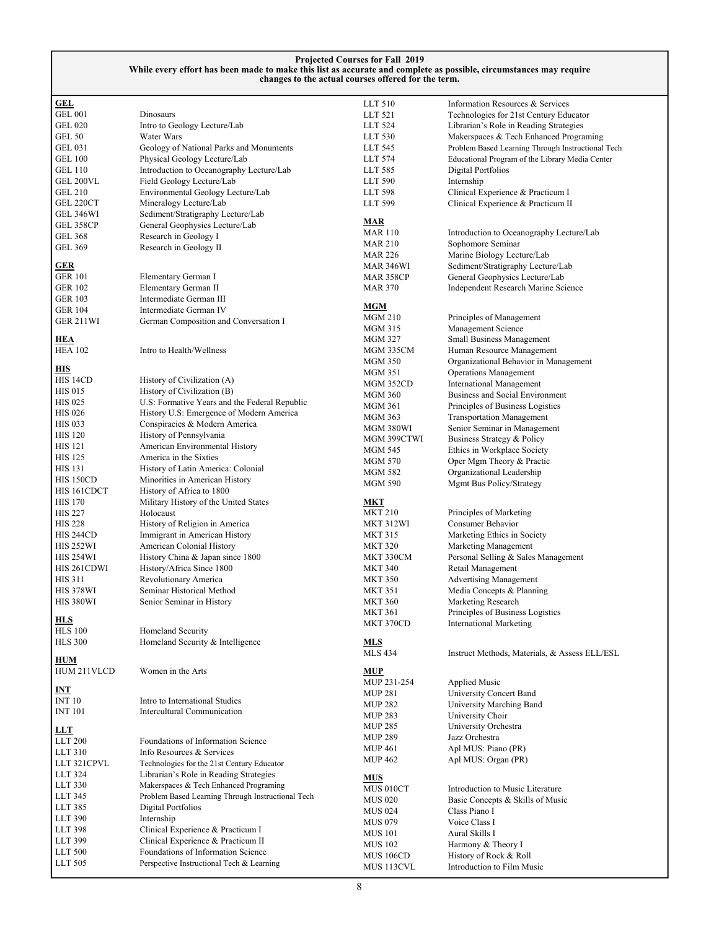| <b>GEL</b>                  |                                                                                  | LLT 510          | Information Resources & Services                  |
|-----------------------------|----------------------------------------------------------------------------------|------------------|---------------------------------------------------|
| <b>GEL 001</b>              | Dinosaurs                                                                        | LLT 521          | Technologies for 21st Century Educator            |
| GEL 020                     | Intro to Geology Lecture/Lab                                                     | LLT 524          | Librarian's Role in Reading Strategies            |
| <b>GEL 50</b>               | Water Wars                                                                       | LLT 530          | Makerspaces & Tech Enhanced Programing            |
| <b>GEL 031</b>              | Geology of National Parks and Monuments                                          | LLT 545          | Problem Based Learning Through Instructional Tech |
| <b>GEL 100</b>              | Physical Geology Lecture/Lab                                                     | LLT 574          | Educational Program of the Library Media Center   |
| <b>GEL 110</b>              | Introduction to Oceanography Lecture/Lab                                         | LLT 585          | Digital Portfolios                                |
| GEL 200VL                   | Field Geology Lecture/Lab                                                        | LLT 590          | Internship                                        |
| <b>GEL 210</b>              | Environmental Geology Lecture/Lab                                                | LLT 598          | Clinical Experience & Practicum I                 |
| GEL 220CT                   | Mineralogy Lecture/Lab                                                           | LLT 599          | Clinical Experience & Practicum II                |
| GEL 346WI                   | Sediment/Stratigraphy Lecture/Lab                                                |                  |                                                   |
| GEL 358CP                   | General Geophysics Lecture/Lab                                                   | MAR              |                                                   |
| GEL 368                     | Research in Geology I                                                            | <b>MAR 110</b>   | Introduction to Oceanography Lecture/Lab          |
| GEL 369                     | Research in Geology II                                                           | <b>MAR 210</b>   | Sophomore Seminar                                 |
|                             |                                                                                  | <b>MAR 226</b>   | Marine Biology Lecture/Lab                        |
| <u>GER</u>                  |                                                                                  | MAR 346WI        | Sediment/Stratigraphy Lecture/Lab                 |
| GER 101                     | Elementary German I                                                              | <b>MAR 358CP</b> | General Geophysics Lecture/Lab                    |
| GER 102                     | Elementary German II                                                             | <b>MAR 370</b>   | Independent Research Marine Science               |
| GER 103                     | Intermediate German III                                                          |                  |                                                   |
| GER 104                     | Intermediate German IV                                                           | <b>MGM</b>       |                                                   |
| GER 211WI                   | German Composition and Conversation I                                            | <b>MGM 210</b>   | Principles of Management                          |
|                             |                                                                                  | MGM 315          | Management Science                                |
| <u>HEA</u>                  |                                                                                  | <b>MGM 327</b>   | Small Business Management                         |
| <b>HEA 102</b>              | Intro to Health/Wellness                                                         | MGM 335CM        | Human Resource Management                         |
| <u>HIS</u>                  |                                                                                  | <b>MGM 350</b>   | Organizational Behavior in Management             |
| HIS 14CD                    | History of Civilization (A)                                                      | MGM 351          | <b>Operations Management</b>                      |
| <b>HIS 015</b>              | History of Civilization (B)                                                      | MGM 352CD        | <b>International Management</b>                   |
| <b>HIS 025</b>              | U.S: Formative Years and the Federal Republic                                    | <b>MGM 360</b>   | Business and Social Environment                   |
| <b>HIS 026</b>              | History U.S: Emergence of Modern America                                         | <b>MGM 361</b>   | Principles of Business Logistics                  |
| <b>HIS 033</b>              | Conspiracies & Modern America                                                    | MGM 363          | <b>Transportation Management</b>                  |
| <b>HIS 120</b>              | History of Pennsylvania                                                          | MGM 380WI        | Senior Seminar in Management                      |
| <b>HIS 121</b>              | American Environmental History                                                   | MGM 399CTWI      | Business Strategy & Policy                        |
| <b>HIS 125</b>              | America in the Sixties                                                           | MGM 545          | Ethics in Workplace Society                       |
|                             |                                                                                  | <b>MGM 570</b>   | Oper Mgm Theory & Practic                         |
| HIS 131<br><b>HIS 150CD</b> | History of Latin America: Colonial<br>Minorities in American History             | MGM 582          | Organizational Leadership                         |
| HIS 161CDCT                 |                                                                                  | <b>MGM 590</b>   | Mgmt Bus Policy/Strategy                          |
|                             | History of Africa to 1800                                                        |                  |                                                   |
| <b>HIS 170</b>              | Military History of the United States                                            | MKT              |                                                   |
| <b>HIS 227</b>              | Holocaust                                                                        | <b>MKT 210</b>   | Principles of Marketing<br>Consumer Behavior      |
| <b>HIS 228</b><br>HIS 244CD | History of Religion in America                                                   | MKT 312WI        |                                                   |
|                             | Immigrant in American History                                                    | <b>MKT 315</b>   | Marketing Ethics in Society                       |
| HIS 252WI                   | American Colonial History                                                        | <b>MKT 320</b>   | Marketing Management                              |
| HIS 254WI                   | History China & Japan since 1800                                                 | MKT 330CM        | Personal Selling & Sales Management               |
| HIS 261CDWI                 | History/Africa Since 1800                                                        | <b>MKT 340</b>   | Retail Management                                 |
| <b>HIS 311</b>              | Revolutionary America                                                            | <b>MKT 350</b>   | <b>Advertising Management</b>                     |
| <b>HIS 378WI</b>            | Seminar Historical Method                                                        | <b>MKT 351</b>   | Media Concepts & Planning                         |
| HIS 380WI                   | Senior Seminar in History                                                        | <b>MKT 360</b>   | Marketing Research                                |
| <b>HLS</b>                  |                                                                                  | <b>MKT 361</b>   | Principles of Business Logistics                  |
| <b>HLS</b> 100              | Homeland Security                                                                | MKT 370CD        | International Marketing                           |
| <b>HLS 300</b>              | Homeland Security & Intelligence                                                 | <b>MLS</b>       |                                                   |
|                             |                                                                                  | <b>MLS 434</b>   | Instruct Methods, Materials, & Assess ELL/ESL     |
| <u>HUM</u>                  |                                                                                  |                  |                                                   |
| HUM 211VLCD                 | Women in the Arts                                                                | <b>MUP</b>       |                                                   |
|                             |                                                                                  | MUP 231-254      | <b>Applied Music</b>                              |
| INT                         |                                                                                  | <b>MUP 281</b>   | University Concert Band                           |
| <b>INT 10</b>               | Intro to International Studies                                                   | <b>MUP 282</b>   | University Marching Band                          |
| <b>INT 101</b>              | Intercultural Communication                                                      | <b>MUP 283</b>   | University Choir                                  |
| <b>LLT</b>                  |                                                                                  | <b>MUP 285</b>   | University Orchestra                              |
| ${\rm LLT}$ 200             | Foundations of Information Science                                               | <b>MUP 289</b>   | Jazz Orchestra                                    |
| LLT 310                     | Info Resources & Services                                                        | <b>MUP 461</b>   | Apl MUS: Piano (PR)                               |
| LLT 321CPVL                 | Technologies for the 21st Century Educator                                       | <b>MUP 462</b>   | Apl MUS: Organ (PR)                               |
| LLT 324                     |                                                                                  |                  |                                                   |
| LLT 330                     | Librarian's Role in Reading Strategies<br>Makerspaces & Tech Enhanced Programing | <u>MUS</u>       |                                                   |
| LLT 345                     |                                                                                  | MUS 010CT        | Introduction to Music Literature                  |
|                             | Problem Based Learning Through Instructional Tech                                | <b>MUS 020</b>   | Basic Concepts & Skills of Music                  |
| LLT 385                     | Digital Portfolios                                                               | <b>MUS 024</b>   | Class Piano I                                     |
| LLT 390                     | Internship                                                                       | <b>MUS 079</b>   | Voice Class I                                     |
| LLT 398                     | Clinical Experience & Practicum I                                                | <b>MUS 101</b>   | Aural Skills I                                    |
| LLT 399                     | Clinical Experience & Practicum II                                               | <b>MUS 102</b>   | Harmony & Theory I                                |
| LLT $500\,$                 | Foundations of Information Science                                               | MUS 106CD        | History of Rock & Roll                            |
| LLT 505                     | Perspective Instructional Tech & Learning                                        | MUS 113CVL       | Introduction to Film Music                        |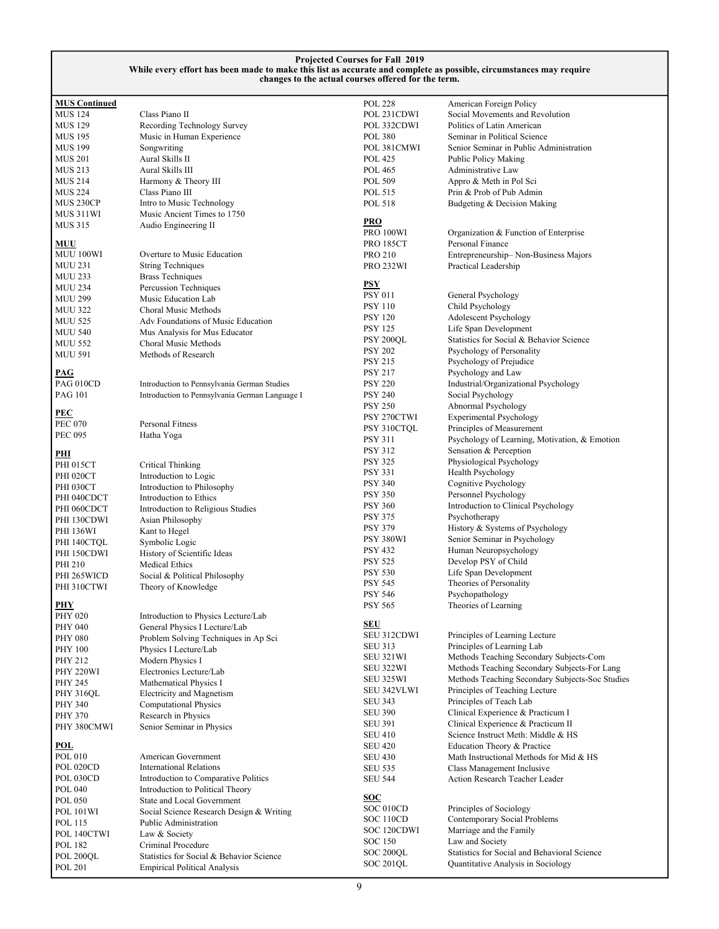| <b>MUS Continued</b> |                                                | <b>POL 228</b>   | American Foreign Policy                         |
|----------------------|------------------------------------------------|------------------|-------------------------------------------------|
| <b>MUS 124</b>       | Class Piano II                                 | POL 231CDWI      | Social Movements and Revolution                 |
| <b>MUS 129</b>       | Recording Technology Survey                    | POL 332CDWI      | Politics of Latin American                      |
| <b>MUS 195</b>       | Music in Human Experience                      | <b>POL 380</b>   | Seminar in Political Science                    |
| <b>MUS 199</b>       | Songwriting                                    | POL 381CMWI      | Senior Seminar in Public Administration         |
| <b>MUS 201</b>       | Aural Skills II                                | <b>POL 425</b>   | Public Policy Making                            |
| MUS 213              | Aural Skills III                               | POL 465          | Administrative Law                              |
| MUS 214              | Harmony & Theory III                           | POL 509          | Appro & Meth in Pol Sci                         |
| <b>MUS 224</b>       | Class Piano III                                | POL 515          | Prin & Prob of Pub Admin                        |
| MUS 230CP            | Intro to Music Technology                      | POL 518          | Budgeting & Decision Making                     |
| MUS 311WI            | Music Ancient Times to 1750                    |                  |                                                 |
| <b>MUS 315</b>       | Audio Engineering II                           | <b>PRO</b>       |                                                 |
|                      |                                                | PRO 100WI        | Organization & Function of Enterprise           |
| MUU                  |                                                | <b>PRO 185CT</b> | Personal Finance                                |
| MUU 100WI            | Overture to Music Education                    | <b>PRO 210</b>   | Entrepreneurship-Non-Business Majors            |
| <b>MUU 231</b>       | <b>String Techniques</b>                       | <b>PRO 232WI</b> | Practical Leadership                            |
| <b>MUU 233</b>       | <b>Brass Techniques</b>                        |                  |                                                 |
| <b>MUU 234</b>       | Percussion Techniques                          | <b>PSY</b>       |                                                 |
| <b>MUU 299</b>       | Music Education Lab                            | <b>PSY 011</b>   | General Psychology                              |
| <b>MUU 322</b>       | Choral Music Methods                           | <b>PSY 110</b>   | Child Psychology                                |
| <b>MUU 525</b>       | Adv Foundations of Music Education             | <b>PSY 120</b>   | Adolescent Psychology                           |
|                      |                                                | <b>PSY 125</b>   | Life Span Development                           |
| <b>MUU 540</b>       | Mus Analysis for Mus Educator                  | PSY 200QL        | Statistics for Social & Behavior Science        |
| <b>MUU 552</b>       | Choral Music Methods                           | <b>PSY 202</b>   | Psychology of Personality                       |
| <b>MUU 591</b>       | Methods of Research                            | <b>PSY 215</b>   | Psychology of Prejudice                         |
| <b>PAG</b>           |                                                | <b>PSY 217</b>   | Psychology and Law                              |
| <b>PAG 010CD</b>     | Introduction to Pennsylvania German Studies    | <b>PSY 220</b>   | Industrial/Organizational Psychology            |
| <b>PAG 101</b>       |                                                |                  |                                                 |
|                      | Introduction to Pennsylvania German Language I | <b>PSY 240</b>   | Social Psychology                               |
| PEC                  |                                                | <b>PSY 250</b>   | Abnormal Psychology                             |
| <b>PEC 070</b>       | <b>Personal Fitness</b>                        | PSY 270CTWI      | <b>Experimental Psychology</b>                  |
| <b>PEC 095</b>       | Hatha Yoga                                     | PSY 310CTQL      | Principles of Measurement                       |
|                      |                                                | <b>PSY 311</b>   | Psychology of Learning, Motivation, & Emotion   |
| <u>PHI</u>           |                                                | <b>PSY 312</b>   | Sensation & Perception                          |
| <b>PHI 015CT</b>     | <b>Critical Thinking</b>                       | <b>PSY 325</b>   | Physiological Psychology                        |
| <b>PHI 020CT</b>     | Introduction to Logic                          | <b>PSY 331</b>   | Health Psychology                               |
| <b>PHI 030CT</b>     | Introduction to Philosophy                     | <b>PSY 340</b>   | Cognitive Psychology                            |
| PHI 040CDCT          | Introduction to Ethics                         | <b>PSY 350</b>   | Personnel Psychology                            |
| PHI 060CDCT          | Introduction to Religious Studies              | <b>PSY 360</b>   | Introduction to Clinical Psychology             |
|                      |                                                | <b>PSY 375</b>   | Psychotherapy                                   |
| PHI 130CDWI          | Asian Philosophy                               | <b>PSY 379</b>   | History & Systems of Psychology                 |
| <b>PHI 136WI</b>     | Kant to Hegel                                  | PSY 380WI        | Senior Seminar in Psychology                    |
| PHI 140CTQL          | Symbolic Logic                                 | <b>PSY 432</b>   | Human Neuropsychology                           |
| PHI 150CDWI          | History of Scientific Ideas                    | <b>PSY 525</b>   | Develop PSY of Child                            |
| PHI 210              | Medical Ethics                                 | <b>PSY 530</b>   | Life Span Development                           |
| PHI 265WICD          | Social & Political Philosophy                  |                  |                                                 |
| PHI 310CTWI          | Theory of Knowledge                            | <b>PSY 545</b>   | Theories of Personality                         |
|                      |                                                | <b>PSY 546</b>   | Psychopathology                                 |
| <b>PHY</b>           |                                                | <b>PSY 565</b>   | Theories of Learning                            |
| <b>PHY 020</b>       | Introduction to Physics Lecture/Lab            | <b>SEU</b>       |                                                 |
| PHY 040              | General Physics I Lecture/Lab                  | SEU 312CDWI      | Principles of Learning Lecture                  |
| <b>PHY 080</b>       | Problem Solving Techniques in Ap Sci           |                  |                                                 |
| PHY 100              | Physics I Lecture/Lab                          | <b>SEU 313</b>   | Principles of Learning Lab                      |
| PHY 212              | Modern Physics I                               | SEU 321WI        | Methods Teaching Secondary Subjects-Com         |
| PHY 220WI            | Electronics Lecture/Lab                        | SEU 322WI        | Methods Teaching Secondary Subjects-For Lang    |
| PHY 245              | Mathematical Physics I                         | SEU 325WI        | Methods Teaching Secondary Subjects-Soc Studies |
| <b>PHY 316QL</b>     | Electricity and Magnetism                      | SEU 342VLWI      | Principles of Teaching Lecture                  |
| PHY 340              | <b>Computational Physics</b>                   | <b>SEU 343</b>   | Principles of Teach Lab                         |
| <b>PHY 370</b>       | Research in Physics                            | <b>SEU 390</b>   | Clinical Experience & Practicum I               |
| PHY 380CMWI          | Senior Seminar in Physics                      | <b>SEU 391</b>   | Clinical Experience & Practicum II              |
|                      |                                                | <b>SEU 410</b>   | Science Instruct Meth: Middle & HS              |
| <u>POL</u>           |                                                | <b>SEU 420</b>   | Education Theory & Practice                     |
| POL 010              | American Government                            | <b>SEU 430</b>   | Math Instructional Methods for Mid & HS         |
| POL 020CD            | <b>International Relations</b>                 | <b>SEU 535</b>   | Class Management Inclusive                      |
| POL 030CD            | Introduction to Comparative Politics           | <b>SEU 544</b>   | Action Research Teacher Leader                  |
| <b>POL 040</b>       | Introduction to Political Theory               |                  |                                                 |
| <b>POL 050</b>       | State and Local Government                     | <b>SOC</b>       |                                                 |
| <b>POL 101WI</b>     | Social Science Research Design & Writing       | SOC 010CD        | Principles of Sociology                         |
| POL 115              | Public Administration                          | SOC 110CD        | Contemporary Social Problems                    |
| POL 140CTWI          | Law & Society                                  | SOC 120CDWI      | Marriage and the Family                         |
|                      | Criminal Procedure                             | SOC 150          | Law and Society                                 |
| POL 182              |                                                | SOC 200QL        | Statistics for Social and Behavioral Science    |
| POL 200QL            | Statistics for Social & Behavior Science       | SOC 201QL        | Quantitative Analysis in Sociology              |
| <b>POL 201</b>       | <b>Empirical Political Analysis</b>            |                  |                                                 |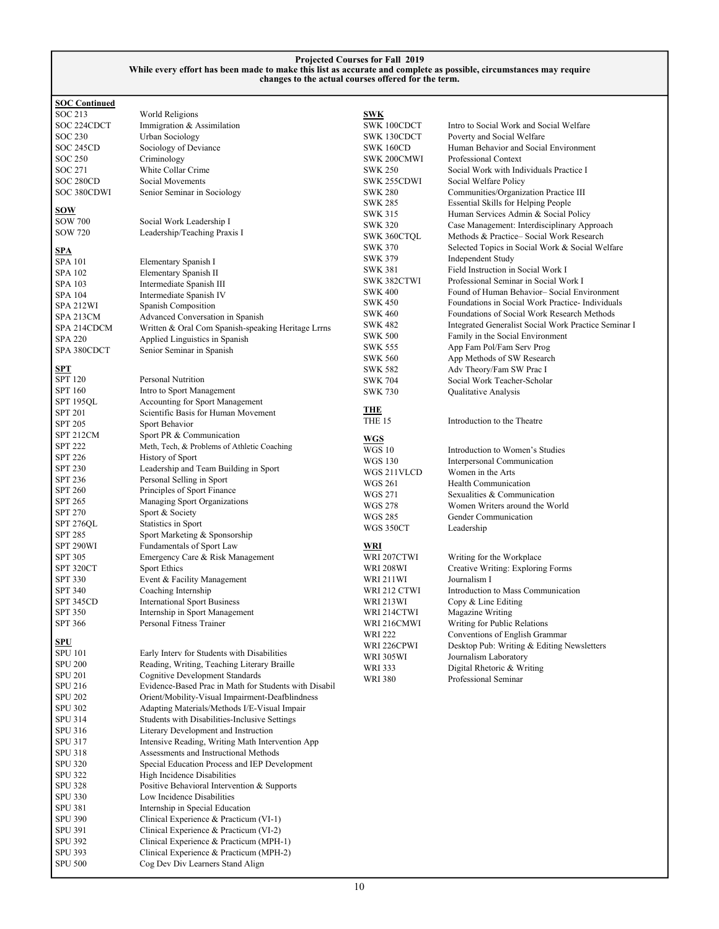| <b>SOC Continued</b> |                                                       |                  |                                                      |
|----------------------|-------------------------------------------------------|------------------|------------------------------------------------------|
| SOC 213              | World Religions                                       | <b>SWK</b>       |                                                      |
| SOC 224CDCT          | Immigration & Assimilation                            | SWK 100CDCT      | Intro to Social Work and Social Welfare              |
| <b>SOC 230</b>       | Urban Sociology                                       | SWK 130CDCT      | Poverty and Social Welfare                           |
| SOC 245CD            | Sociology of Deviance                                 | <b>SWK 160CD</b> | Human Behavior and Social Environment                |
| SOC 250              | Criminology                                           | SWK 200CMWI      | Professional Context                                 |
| SOC 271              | White Collar Crime                                    | <b>SWK 250</b>   | Social Work with Individuals Practice I              |
| SOC 280CD            | Social Movements                                      | SWK 255CDWI      | Social Welfare Policy                                |
| SOC 380CDWI          | Senior Seminar in Sociology                           | <b>SWK 280</b>   | Communities/Organization Practice III                |
|                      |                                                       | <b>SWK 285</b>   | <b>Essential Skills for Helping People</b>           |
| <u>sow</u>           |                                                       | <b>SWK 315</b>   | Human Services Admin & Social Policy                 |
| <b>SOW 700</b>       | Social Work Leadership I                              | <b>SWK 320</b>   | Case Management: Interdisciplinary Approach          |
| <b>SOW 720</b>       | Leadership/Teaching Praxis I                          | SWK 360CTQL      | Methods & Practice-Social Work Research              |
|                      |                                                       | <b>SWK 370</b>   | Selected Topics in Social Work & Social Welfare      |
| SPA                  |                                                       | <b>SWK 379</b>   | Independent Study                                    |
| <b>SPA 101</b>       | Elementary Spanish I                                  | <b>SWK 381</b>   | Field Instruction in Social Work I                   |
| SPA 102              | Elementary Spanish II                                 | SWK 382CTWI      | Professional Seminar in Social Work I                |
| SPA 103              | Intermediate Spanish III                              | <b>SWK 400</b>   | Found of Human Behavior-Social Environment           |
| SPA 104              | Intermediate Spanish IV                               | <b>SWK 450</b>   | Foundations in Social Work Practice-Individuals      |
| SPA 212WI            | Spanish Composition                                   | <b>SWK 460</b>   | Foundations of Social Work Research Methods          |
| SPA 213CM            | Advanced Conversation in Spanish                      | <b>SWK 482</b>   |                                                      |
| SPA 214CDCM          | Written & Oral Com Spanish-speaking Heritage Lrrns    |                  | Integrated Generalist Social Work Practice Seminar I |
| <b>SPA 220</b>       | Applied Linguistics in Spanish                        | <b>SWK 500</b>   | Family in the Social Environment                     |
| SPA 380CDCT          | Senior Seminar in Spanish                             | SWK 555          | App Fam Pol/Fam Serv Prog                            |
|                      |                                                       | <b>SWK 560</b>   | App Methods of SW Research                           |
| <b>SPT</b>           | <b>Personal Nutrition</b>                             | <b>SWK 582</b>   | Adv Theory/Fam SW Prac I                             |
| <b>SPT 120</b>       |                                                       | <b>SWK 704</b>   | Social Work Teacher-Scholar                          |
| SPT 160              | Intro to Sport Management                             | <b>SWK 730</b>   | Qualitative Analysis                                 |
| SPT 195QL            | Accounting for Sport Management                       | <b>THE</b>       |                                                      |
| <b>SPT 201</b>       | Scientific Basis for Human Movement                   | THE 15           | Introduction to the Theatre                          |
| <b>SPT 205</b>       | Sport Behavior                                        |                  |                                                      |
| SPT 212CM            | Sport PR & Communication                              | <b>WGS</b>       |                                                      |
| <b>SPT 222</b>       | Meth, Tech, & Problems of Athletic Coaching           | <b>WGS 10</b>    | Introduction to Women's Studies                      |
| <b>SPT 226</b>       | History of Sport                                      | <b>WGS 130</b>   | Interpersonal Communication                          |
| <b>SPT 230</b>       | Leadership and Team Building in Sport                 | WGS 211VLCD      | Women in the Arts                                    |
| SPT 236              | Personal Selling in Sport                             | <b>WGS 261</b>   | Health Communication                                 |
| <b>SPT 260</b>       | Principles of Sport Finance                           | <b>WGS 271</b>   | Sexualities & Communication                          |
| <b>SPT 265</b>       | Managing Sport Organizations                          | <b>WGS 278</b>   | Women Writers around the World                       |
| <b>SPT 270</b>       | Sport & Society                                       | <b>WGS 285</b>   | Gender Communication                                 |
| SPT 276QL            | Statistics in Sport                                   | WGS 350CT        | Leadership                                           |
| <b>SPT 285</b>       | Sport Marketing & Sponsorship                         |                  |                                                      |
| SPT 290WI            | Fundamentals of Sport Law                             | WRI              |                                                      |
| <b>SPT 305</b>       | Emergency Care & Risk Management                      | WRI 207CTWI      | Writing for the Workplace                            |
| SPT 320CT            | <b>Sport Ethics</b>                                   | <b>WRI 208WI</b> | Creative Writing: Exploring Forms                    |
| <b>SPT 330</b>       | Event & Facility Management                           | WRI 211WI        | Journalism I                                         |
| <b>SPT 340</b>       | Coaching Internship                                   | WRI 212 CTWI     | Introduction to Mass Communication                   |
| SPT 345CD            | <b>International Sport Business</b>                   | <b>WRI 213WI</b> | Copy & Line Editing                                  |
| <b>SPT 350</b>       | Internship in Sport Management                        | WRI 214CTWI      | Magazine Writing                                     |
| SPT 366              | Personal Fitness Trainer                              | WRI 216CMWI      | Writing for Public Relations                         |
| <u>SPU</u>           |                                                       | <b>WRI 222</b>   | Conventions of English Grammar                       |
| SPU 101              | Early Interv for Students with Disabilities           | WRI 226CPWI      | Desktop Pub: Writing & Editing Newsletters           |
| <b>SPU 200</b>       | Reading, Writing, Teaching Literary Braille           | <b>WRI 305WI</b> | Journalism Laboratory                                |
|                      |                                                       | <b>WRI 333</b>   | Digital Rhetoric & Writing                           |
| SPU 201              | <b>Cognitive Development Standards</b>                | <b>WRI 380</b>   | Professional Seminar                                 |
| SPU 216              | Evidence-Based Prac in Math for Students with Disabil |                  |                                                      |
| <b>SPU 202</b>       | Orient/Mobility-Visual Impairment-Deafblindness       |                  |                                                      |
| <b>SPU 302</b>       | Adapting Materials/Methods I/E-Visual Impair          |                  |                                                      |
| SPU 314              | Students with Disabilities-Inclusive Settings         |                  |                                                      |
| SPU 316              | Literary Development and Instruction                  |                  |                                                      |
| SPU 317              | Intensive Reading, Writing Math Intervention App      |                  |                                                      |
| SPU 318              | Assessments and Instructional Methods                 |                  |                                                      |
| <b>SPU 320</b>       | Special Education Process and IEP Development         |                  |                                                      |
| <b>SPU 322</b>       | High Incidence Disabilities                           |                  |                                                      |
| <b>SPU 328</b>       | Positive Behavioral Intervention & Supports           |                  |                                                      |
| <b>SPU 330</b>       | Low Incidence Disabilities                            |                  |                                                      |
| SPU 381              | Internship in Special Education                       |                  |                                                      |
| <b>SPU 390</b>       | Clinical Experience & Practicum (VI-1)                |                  |                                                      |

SPU 391 Clinical Experience & Practicum (VI-2)<br>SPU 392 Clinical Experience & Practicum (MPH-SPU 392 Clinical Experience & Practicum (MPH-1)<br>SPU 393 Clinical Experience & Practicum (MPH-2) SPU 393 Clinical Experience & Practicum (MPH-2)<br>SPU 500 Cog Dev Div Learners Stand Align

Cog Dev Div Learners Stand Align